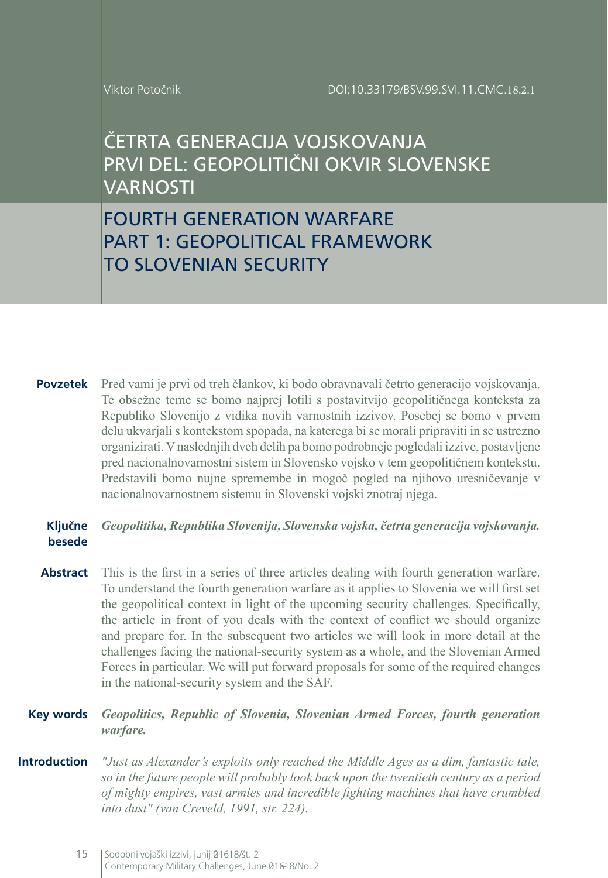Viktor Potočnik

ČETRTA GENERACIJA VOJSKOVANJA PRVI DEL: GEOPOLITIČNI OKVIR SLOVENSKE VARNOSTI

FOURTH GENERATION WARFARE PART 1: GEOPOLITICAL FRAMEWORK TO SLOVENIAN SECURITY

**Povzetek** Pred vami je prvi od treh člankov, ki bodo obravnavali četrto generacijo vojskovanja. Te obsežne teme se bomo najprej lotili s postavitvijo geopolitičnega konteksta za Republiko Slovenijo z vidika novih varnostnih izzivov. Posebej se bomo v prvem delu ukvarjali s kontekstom spopada, na katerega bi se morali pripraviti in se ustrezno organizirati. Vnaslednjih dveh delih pa bomo podrobneje pogledali izzive, postavljene pred nacionalnovarnostni sistem in Slovensko vojsko v tem geopolitičnem kontekstu. Predstavili bomo nujne spremembe in mogoč pogled na njihovo uresničevanje v nacionalnovarnostnem sistemu in Slovenski vojski znotraj njega.

### **Ključne besede** *Geopolitika, Republika Slovenija, Slovenska vojska, četrta generacija vojskovanja.*

**Abstract** This is the first in a series of three articles dealing with fourth generation warfare. To understand the fourth generation warfare as it applies to Slovenia we will first set the geopolitical context in light of the upcoming security challenges. Specifically, the article in front of you deals with the context of conflict we should organize and prepare for. In the subsequent two articles we will look in more detail at the challenges facing the national-security system as a whole, and the Slovenian Armed Forces in particular. We will put forward proposals for some of the required changes in the national-security system and the SAF.

### **Key words** *Geopolitics, Republic of Slovenia, Slovenian Armed Forces, fourth generation warfare.*

**Introduction** *"Just as Alexander's exploits only reached the Middle Ages as a dim, fantastic tale, so in the future people will probably look back upon the twentieth century as a period of mighty empires, vast armies and incredible fighting machines that have crumbled into dust" (van Creveld, 1991, str. 224).*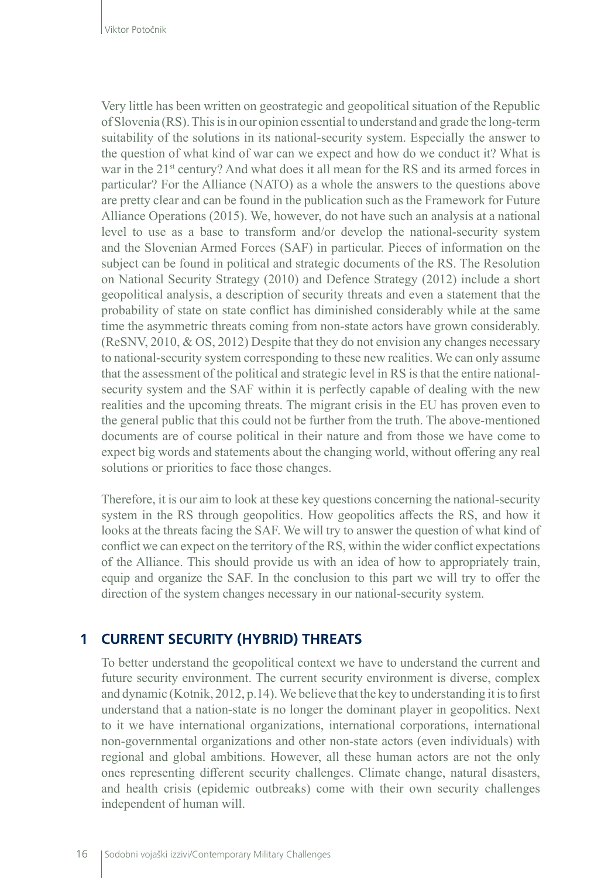Very little has been written on geostrategic and geopolitical situation of the Republic of Slovenia (RS). This is in our opinion essential to understand and grade the long-term suitability of the solutions in its national-security system. Especially the answer to the question of what kind of war can we expect and how do we conduct it? What is war in the 21<sup>st</sup> century? And what does it all mean for the RS and its armed forces in particular? For the Alliance (NATO) as a whole the answers to the questions above are pretty clear and can be found in the publication such as the Framework for Future Alliance Operations (2015). We, however, do not have such an analysis at a national level to use as a base to transform and/or develop the national-security system and the Slovenian Armed Forces (SAF) in particular. Pieces of information on the subject can be found in political and strategic documents of the RS. The Resolution on National Security Strategy (2010) and Defence Strategy (2012) include a short geopolitical analysis, a description of security threats and even a statement that the probability of state on state conflict has diminished considerably while at the same time the asymmetric threats coming from non-state actors have grown considerably. (ReSNV, 2010, & OS, 2012) Despite that they do not envision any changes necessary to national-security system corresponding to these new realities. We can only assume that the assessment of the political and strategic level in RS is that the entire nationalsecurity system and the SAF within it is perfectly capable of dealing with the new realities and the upcoming threats. The migrant crisis in the EU has proven even to the general public that this could not be further from the truth. The above-mentioned documents are of course political in their nature and from those we have come to expect big words and statements about the changing world, without offering any real solutions or priorities to face those changes.

Therefore, it is our aim to look at these key questions concerning the national-security system in the RS through geopolitics. How geopolitics affects the RS, and how it looks at the threats facing the SAF. We will try to answer the question of what kind of conflict we can expect on the territory of the RS, within the wider conflict expectations of the Alliance. This should provide us with an idea of how to appropriately train, equip and organize the SAF. In the conclusion to this part we will try to offer the direction of the system changes necessary in our national-security system.

# **1 CURRENT SECURITY (HYBRID) THREATS**

To better understand the geopolitical context we have to understand the current and future security environment. The current security environment is diverse, complex and dynamic (Kotnik, 2012, p.14). We believe that the key to understanding it is to first understand that a nation-state is no longer the dominant player in geopolitics. Next to it we have international organizations, international corporations, international non-governmental organizations and other non-state actors (even individuals) with regional and global ambitions. However, all these human actors are not the only ones representing different security challenges. Climate change, natural disasters, and health crisis (epidemic outbreaks) come with their own security challenges independent of human will.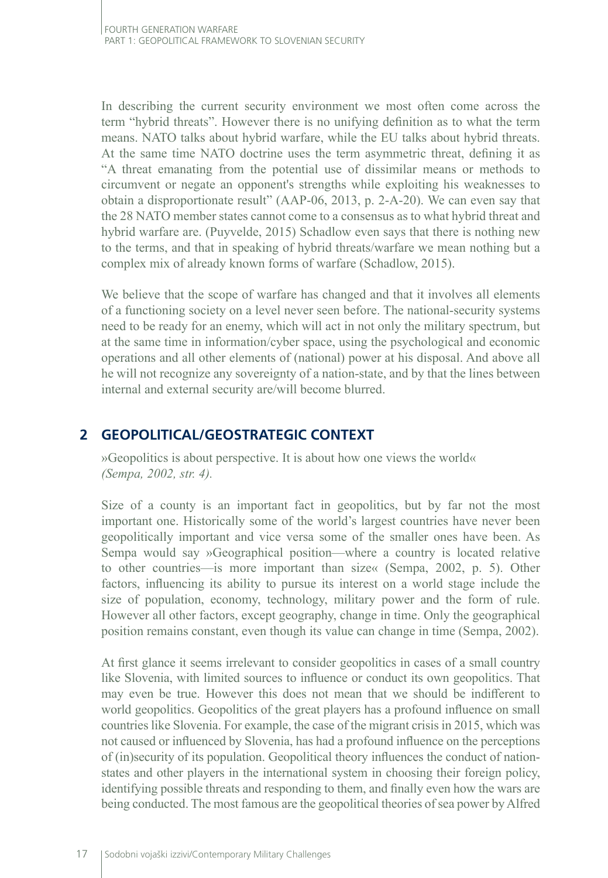In describing the current security environment we most often come across the term "hybrid threats". However there is no unifying definition as to what the term means. NATO talks about hybrid warfare, while the EU talks about hybrid threats. At the same time NATO doctrine uses the term asymmetric threat, defining it as "A threat emanating from the potential use of dissimilar means or methods to circumvent or negate an opponent's strengths while exploiting his weaknesses to obtain a disproportionate result" (AAP-06, 2013, p. 2-A-20). We can even say that the 28 NATO member states cannot come to a consensus as to what hybrid threat and hybrid warfare are. (Puyvelde, 2015) Schadlow even says that there is nothing new to the terms, and that in speaking of hybrid threats/warfare we mean nothing but a complex mix of already known forms of warfare (Schadlow, 2015).

We believe that the scope of warfare has changed and that it involves all elements of a functioning society on a level never seen before. The national-security systems need to be ready for an enemy, which will act in not only the military spectrum, but at the same time in information/cyber space, using the psychological and economic operations and all other elements of (national) power at his disposal. And above all he will not recognize any sovereignty of a nation-state, and by that the lines between internal and external security are/will become blurred.

# **2 GEOPOLITICAL/GEOSTRATEGIC CONTEXT**

»Geopolitics is about perspective. It is about how one views the world« *(Sempa, 2002, str. 4).*

Size of a county is an important fact in geopolitics, but by far not the most important one. Historically some of the world's largest countries have never been geopolitically important and vice versa some of the smaller ones have been. As Sempa would say »Geographical position—where a country is located relative to other countries—is more important than size« (Sempa, 2002, p. 5). Other factors, influencing its ability to pursue its interest on a world stage include the size of population, economy, technology, military power and the form of rule. However all other factors, except geography, change in time. Only the geographical position remains constant, even though its value can change in time (Sempa, 2002).

At first glance it seems irrelevant to consider geopolitics in cases of a small country like Slovenia, with limited sources to influence or conduct its own geopolitics. That may even be true. However this does not mean that we should be indifferent to world geopolitics. Geopolitics of the great players has a profound influence on small countries like Slovenia. For example, the case of the migrant crisis in 2015, which was not caused or influenced by Slovenia, has had a profound influence on the perceptions of (in)security of its population. Geopolitical theory influences the conduct of nationstates and other players in the international system in choosing their foreign policy, identifying possible threats and responding to them, and finally even how the wars are being conducted. The most famous are the geopolitical theories of sea power by Alfred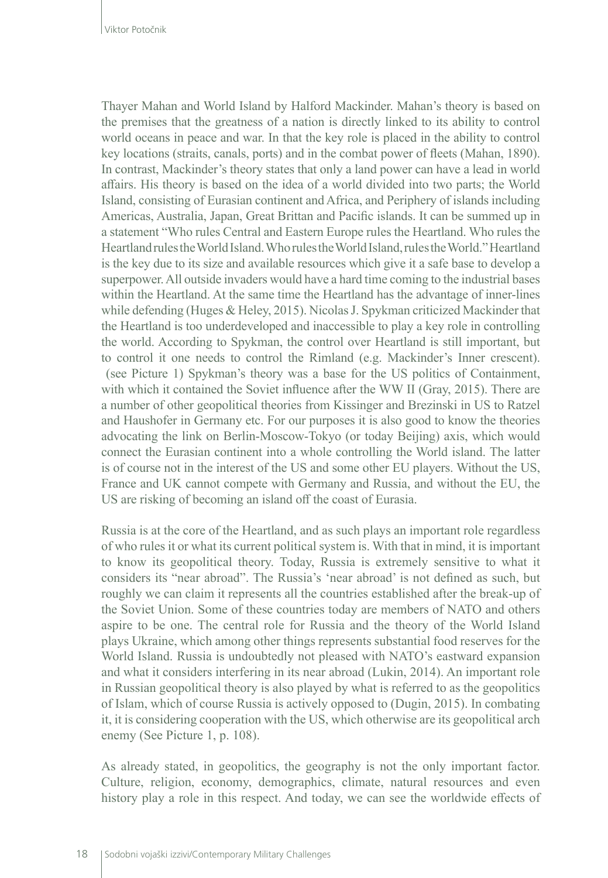Thayer Mahan and World Island by Halford Mackinder. Mahan's theory is based on the premises that the greatness of a nation is directly linked to its ability to control world oceans in peace and war. In that the key role is placed in the ability to control key locations (straits, canals, ports) and in the combat power of fleets (Mahan, 1890). In contrast, Mackinder's theory states that only a land power can have a lead in world affairs. His theory is based on the idea of a world divided into two parts; the World Island, consisting of Eurasian continent and Africa, and Periphery of islands including Americas, Australia, Japan, Great Brittan and Pacific islands. It can be summed up in a statement "Who rules Central and Eastern Europe rules the Heartland. Who rules the Heartland rules the World Island. Who rules the World Island, rules the World." Heartland is the key due to its size and available resources which give it a safe base to develop a superpower. All outside invaders would have a hard time coming to the industrial bases within the Heartland. At the same time the Heartland has the advantage of inner-lines while defending (Huges & Heley, 2015). Nicolas J. Spykman criticized Mackinder that the Heartland is too underdeveloped and inaccessible to play a key role in controlling the world. According to Spykman, the control over Heartland is still important, but to control it one needs to control the Rimland (e.g. Mackinder's Inner crescent). (see Picture 1) Spykman's theory was a base for the US politics of Containment, with which it contained the Soviet influence after the WW II (Gray, 2015). There are a number of other geopolitical theories from Kissinger and Brezinski in US to Ratzel and Haushofer in Germany etc. For our purposes it is also good to know the theories advocating the link on Berlin-Moscow-Tokyo (or today Beijing) axis, which would connect the Eurasian continent into a whole controlling the World island. The latter is of course not in the interest of the US and some other EU players. Without the US, France and UK cannot compete with Germany and Russia, and without the EU, the US are risking of becoming an island off the coast of Eurasia.

Russia is at the core of the Heartland, and as such plays an important role regardless of who rules it or what its current political system is. With that in mind, it is important to know its geopolitical theory. Today, Russia is extremely sensitive to what it considers its "near abroad". The Russia's 'near abroad' is not defined as such, but roughly we can claim it represents all the countries established after the break-up of the Soviet Union. Some of these countries today are members of NATO and others aspire to be one. The central role for Russia and the theory of the World Island plays Ukraine, which among other things represents substantial food reserves for the World Island. Russia is undoubtedly not pleased with NATO's eastward expansion and what it considers interfering in its near abroad (Lukin, 2014). An important role in Russian geopolitical theory is also played by what is referred to as the geopolitics of Islam, which of course Russia is actively opposed to (Dugin, 2015). In combating it, it is considering cooperation with the US, which otherwise are its geopolitical arch enemy (See Picture 1, p. 108).

As already stated, in geopolitics, the geography is not the only important factor. Culture, religion, economy, demographics, climate, natural resources and even history play a role in this respect. And today, we can see the worldwide effects of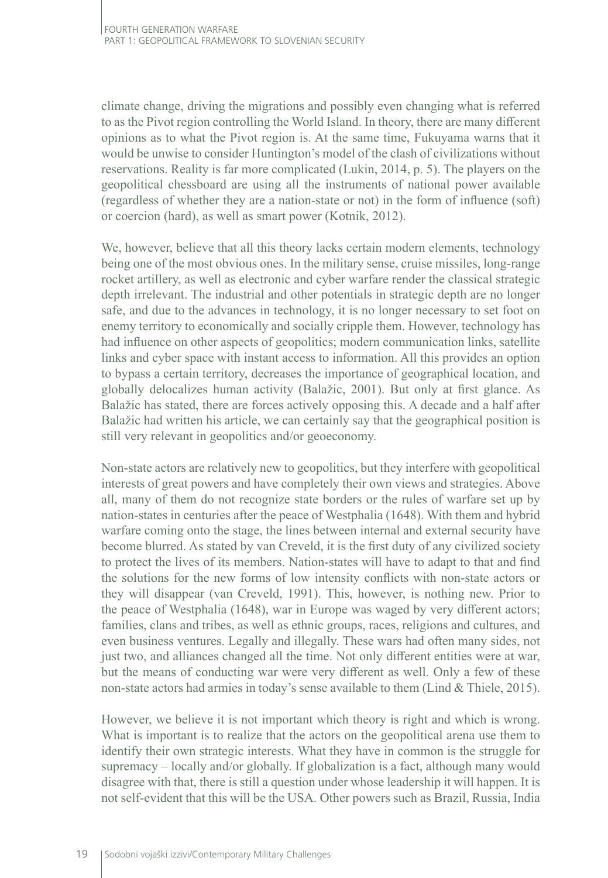climate change, driving the migrations and possibly even changing what is referred to as the Pivot region controlling the World Island. In theory, there are many different opinions as to what the Pivot region is. At the same time, Fukuyama warns that it would be unwise to consider Huntington's model of the clash of civilizations without reservations. Reality is far more complicated (Lukin, 2014, p. 5). The players on the geopolitical chessboard are using all the instruments of national power available (regardless of whether they are a nation-state or not) in the form of influence (soft) or coercion (hard), as well as smart power (Kotnik, 2012).

We, however, believe that all this theory lacks certain modern elements, technology being one of the most obvious ones. In the military sense, cruise missiles, long-range rocket artillery, as well as electronic and cyber warfare render the classical strategic depth irrelevant. The industrial and other potentials in strategic depth are no longer safe, and due to the advances in technology, it is no longer necessary to set foot on enemy territory to economically and socially cripple them. However, technology has had influence on other aspects of geopolitics; modern communication links, satellite links and cyber space with instant access to information. All this provides an option to bypass a certain territory, decreases the importance of geographical location, and globally delocalizes human activity (Balažic, 2001). But only at first glance. As Balažic has stated, there are forces actively opposing this. A decade and a half after Balažic had written his article, we can certainly say that the geographical position is still very relevant in geopolitics and/or geoeconomy.

Non-state actors are relatively new to geopolitics, but they interfere with geopolitical interests of great powers and have completely their own views and strategies. Above all, many of them do not recognize state borders or the rules of warfare set up by nation-states in centuries after the peace of Westphalia (1648). With them and hybrid warfare coming onto the stage, the lines between internal and external security have become blurred. As stated by van Creveld, it is the first duty of any civilized society to protect the lives of its members. Nation-states will have to adapt to that and find the solutions for the new forms of low intensity conflicts with non-state actors or they will disappear (van Creveld, 1991). This, however, is nothing new. Prior to the peace of Westphalia (1648), war in Europe was waged by very different actors; families, clans and tribes, as well as ethnic groups, races, religions and cultures, and even business ventures. Legally and illegally. These wars had often many sides, not just two, and alliances changed all the time. Not only different entities were at war, but the means of conducting war were very different as well. Only a few of these non-state actors had armies in today's sense available to them (Lind & Thiele, 2015).

However, we believe it is not important which theory is right and which is wrong. What is important is to realize that the actors on the geopolitical arena use them to identify their own strategic interests. What they have in common is the struggle for supremacy – locally and/or globally. If globalization is a fact, although many would disagree with that, there is still a question under whose leadership it will happen. It is not self-evident that this will be the USA. Other powers such as Brazil, Russia, India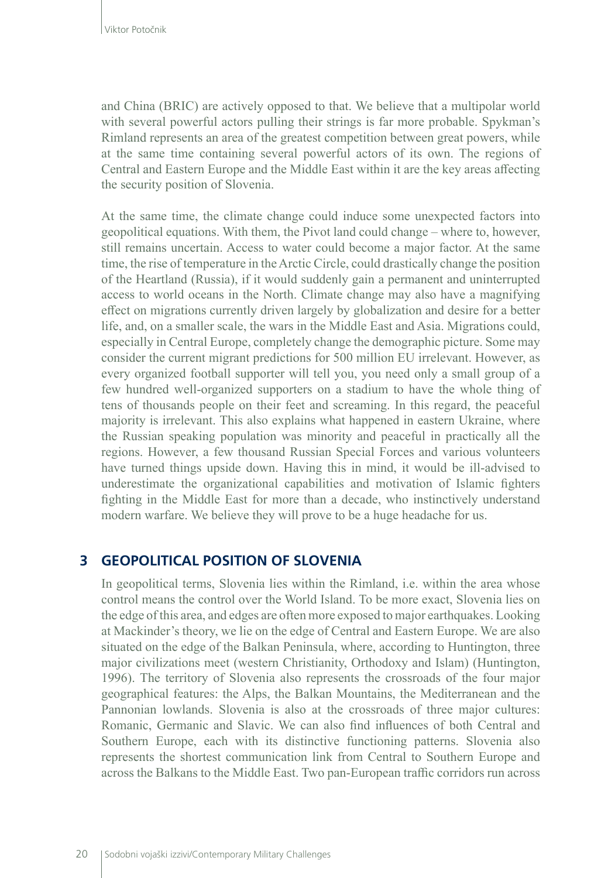and China (BRIC) are actively opposed to that. We believe that a multipolar world with several powerful actors pulling their strings is far more probable. Spykman's Rimland represents an area of the greatest competition between great powers, while at the same time containing several powerful actors of its own. The regions of Central and Eastern Europe and the Middle East within it are the key areas affecting the security position of Slovenia.

At the same time, the climate change could induce some unexpected factors into geopolitical equations. With them, the Pivot land could change – where to, however, still remains uncertain. Access to water could become a major factor. At the same time, the rise of temperature in the Arctic Circle, could drastically change the position of the Heartland (Russia), if it would suddenly gain a permanent and uninterrupted access to world oceans in the North. Climate change may also have a magnifying effect on migrations currently driven largely by globalization and desire for a better life, and, on a smaller scale, the wars in the Middle East and Asia. Migrations could, especially in Central Europe, completely change the demographic picture. Some may consider the current migrant predictions for 500 million EU irrelevant. However, as every organized football supporter will tell you, you need only a small group of a few hundred well-organized supporters on a stadium to have the whole thing of tens of thousands people on their feet and screaming. In this regard, the peaceful majority is irrelevant. This also explains what happened in eastern Ukraine, where the Russian speaking population was minority and peaceful in practically all the regions. However, a few thousand Russian Special Forces and various volunteers have turned things upside down. Having this in mind, it would be ill-advised to underestimate the organizational capabilities and motivation of Islamic fighters fighting in the Middle East for more than a decade, who instinctively understand modern warfare. We believe they will prove to be a huge headache for us.

### **3 GEOPOLITICAL POSITION OF SLOVENIA**

In geopolitical terms, Slovenia lies within the Rimland, i.e. within the area whose control means the control over the World Island. To be more exact, Slovenia lies on the edge of this area, and edges are often more exposed to major earthquakes. Looking at Mackinder's theory, we lie on the edge of Central and Eastern Europe. We are also situated on the edge of the Balkan Peninsula, where, according to Huntington, three major civilizations meet (western Christianity, Orthodoxy and Islam) (Huntington, 1996). The territory of Slovenia also represents the crossroads of the four major geographical features: the Alps, the Balkan Mountains, the Mediterranean and the Pannonian lowlands. Slovenia is also at the crossroads of three major cultures: Romanic, Germanic and Slavic. We can also find influences of both Central and Southern Europe, each with its distinctive functioning patterns. Slovenia also represents the shortest communication link from Central to Southern Europe and across the Balkans to the Middle East. Two pan-European traffic corridors run across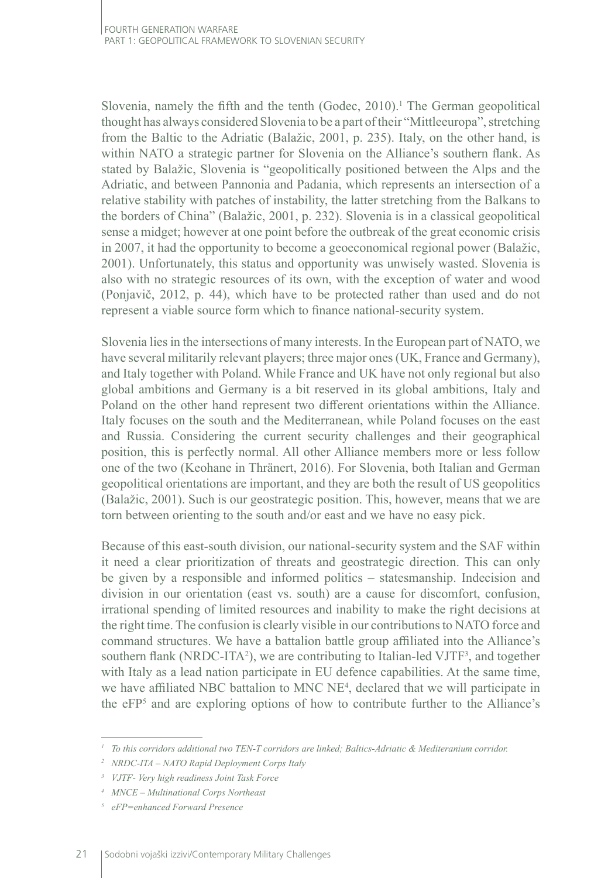Slovenia, namely the fifth and the tenth  $(Godec, 2010)$ .<sup>1</sup> The German geopolitical thought has always considered Slovenia to be a part of their "Mittleeuropa", stretching from the Baltic to the Adriatic (Balažic, 2001, p. 235). Italy, on the other hand, is within NATO a strategic partner for Slovenia on the Alliance's southern flank. As stated by Balažic, Slovenia is "geopolitically positioned between the Alps and the Adriatic, and between Pannonia and Padania, which represents an intersection of a relative stability with patches of instability, the latter stretching from the Balkans to the borders of China" (Balažic, 2001, p. 232). Slovenia is in a classical geopolitical sense a midget; however at one point before the outbreak of the great economic crisis in 2007, it had the opportunity to become a geoeconomical regional power (Balažic, 2001). Unfortunately, this status and opportunity was unwisely wasted. Slovenia is also with no strategic resources of its own, with the exception of water and wood (Ponjavič, 2012, p. 44), which have to be protected rather than used and do not represent a viable source form which to finance national-security system.

Slovenia lies in the intersections of many interests. In the European part of NATO, we have several militarily relevant players; three major ones (UK, France and Germany), and Italy together with Poland. While France and UK have not only regional but also global ambitions and Germany is a bit reserved in its global ambitions, Italy and Poland on the other hand represent two different orientations within the Alliance. Italy focuses on the south and the Mediterranean, while Poland focuses on the east and Russia. Considering the current security challenges and their geographical position, this is perfectly normal. All other Alliance members more or less follow one of the two (Keohane in Thränert, 2016). For Slovenia, both Italian and German geopolitical orientations are important, and they are both the result of US geopolitics (Balažic, 2001). Such is our geostrategic position. This, however, means that we are torn between orienting to the south and/or east and we have no easy pick.

Because of this east-south division, our national-security system and the SAF within it need a clear prioritization of threats and geostrategic direction. This can only be given by a responsible and informed politics – statesmanship. Indecision and division in our orientation (east vs. south) are a cause for discomfort, confusion, irrational spending of limited resources and inability to make the right decisions at the right time. The confusion is clearly visible in our contributions to NATO force and command structures. We have a battalion battle group affiliated into the Alliance's southern flank (NRDC-ITA<sup>2</sup>), we are contributing to Italian-led VJTF<sup>3</sup>, and together with Italy as a lead nation participate in EU defence capabilities. At the same time, we have affiliated NBC battalion to MNC NE<sup>4</sup>, declared that we will participate in the eFP5 and are exploring options of how to contribute further to the Alliance's

*<sup>1</sup> To this corridors additional two TEN-T corridors are linked; Baltics-Adriatic & Mediteranium corridor.* 

*<sup>2</sup> NRDC-ITA – NATO Rapid Deployment Corps Italy*

*<sup>3</sup> VJTF- Very high readiness Joint Task Force*

*<sup>4</sup> MNCE – Multinational Corps Northeast*

*<sup>5</sup> eFP=enhanced Forward Presence*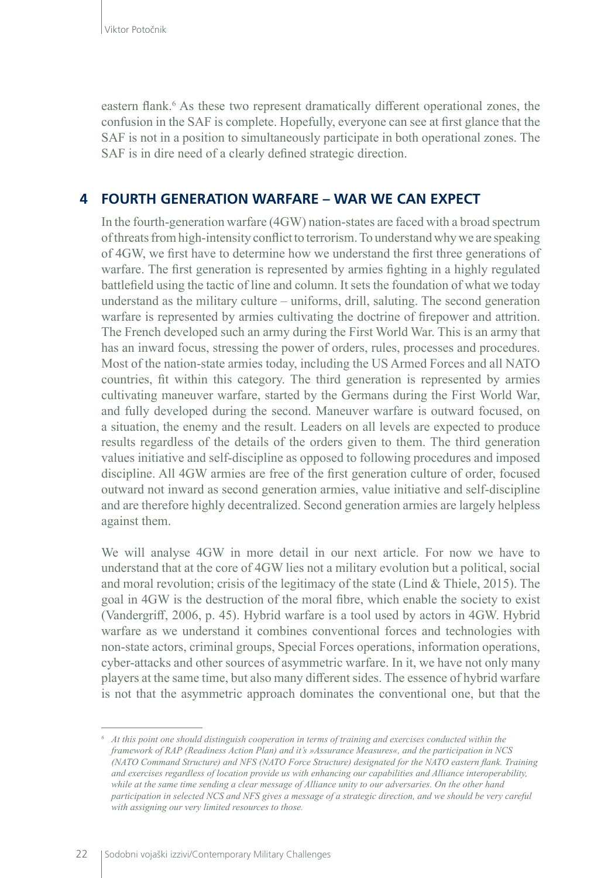eastern flank.<sup>6</sup> As these two represent dramatically different operational zones, the confusion in the SAF is complete. Hopefully, everyone can see at first glance that the SAF is not in a position to simultaneously participate in both operational zones. The SAF is in dire need of a clearly defined strategic direction.

# **4 FOURTH GENERATION WARFARE – WAR WE CAN EXPECT**

In the fourth-generation warfare (4GW) nation-states are faced with a broad spectrum of threats from high-intensity conflict to terrorism. To understand why we are speaking of 4GW, we first have to determine how we understand the first three generations of warfare. The first generation is represented by armies fighting in a highly regulated battlefield using the tactic of line and column. It sets the foundation of what we today understand as the military culture – uniforms, drill, saluting. The second generation warfare is represented by armies cultivating the doctrine of firepower and attrition. The French developed such an army during the First World War. This is an army that has an inward focus, stressing the power of orders, rules, processes and procedures. Most of the nation-state armies today, including the US Armed Forces and all NATO countries, fit within this category. The third generation is represented by armies cultivating maneuver warfare, started by the Germans during the First World War, and fully developed during the second. Maneuver warfare is outward focused, on a situation, the enemy and the result. Leaders on all levels are expected to produce results regardless of the details of the orders given to them. The third generation values initiative and self-discipline as opposed to following procedures and imposed discipline. All 4GW armies are free of the first generation culture of order, focused outward not inward as second generation armies, value initiative and self-discipline and are therefore highly decentralized. Second generation armies are largely helpless against them.

We will analyse 4GW in more detail in our next article. For now we have to understand that at the core of 4GW lies not a military evolution but a political, social and moral revolution; crisis of the legitimacy of the state (Lind & Thiele, 2015). The goal in 4GW is the destruction of the moral fibre, which enable the society to exist (Vandergriff, 2006, p. 45). Hybrid warfare is a tool used by actors in 4GW. Hybrid warfare as we understand it combines conventional forces and technologies with non-state actors, criminal groups, Special Forces operations, information operations, cyber-attacks and other sources of asymmetric warfare. In it, we have not only many players at the same time, but also many different sides. The essence of hybrid warfare is not that the asymmetric approach dominates the conventional one, but that the

*<sup>6</sup> At this point one should distinguish cooperation in terms of training and exercises conducted within the framework of RAP (Readiness Action Plan) and it's »Assurance Measures«, and the participation in NCS (NATO Command Structure) and NFS (NATO Force Structure) designated for the NATO eastern flank. Training and exercises regardless of location provide us with enhancing our capabilities and Alliance interoperability, while at the same time sending a clear message of Alliance unity to our adversaries. On the other hand participation in selected NCS and NFS gives a message of a strategic direction, and we should be very careful with assigning our very limited resources to those.*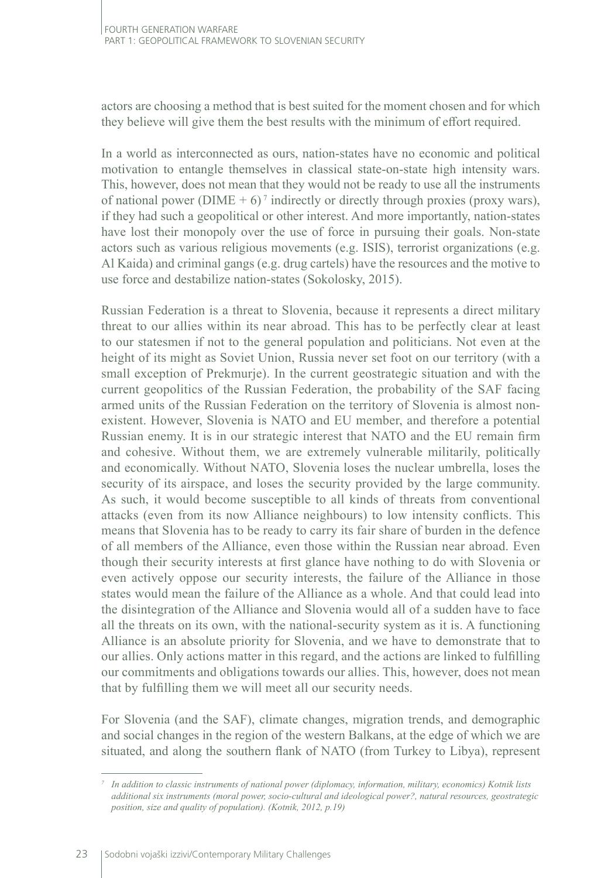actors are choosing a method that is best suited for the moment chosen and for which they believe will give them the best results with the minimum of effort required.

In a world as interconnected as ours, nation-states have no economic and political motivation to entangle themselves in classical state-on-state high intensity wars. This, however, does not mean that they would not be ready to use all the instruments of national power (DIME +  $6$ )<sup>7</sup> indirectly or directly through proxies (proxy wars), if they had such a geopolitical or other interest. And more importantly, nation-states have lost their monopoly over the use of force in pursuing their goals. Non-state actors such as various religious movements (e.g. ISIS), terrorist organizations (e.g. Al Kaida) and criminal gangs (e.g. drug cartels) have the resources and the motive to use force and destabilize nation-states (Sokolosky, 2015).

Russian Federation is a threat to Slovenia, because it represents a direct military threat to our allies within its near abroad. This has to be perfectly clear at least to our statesmen if not to the general population and politicians. Not even at the height of its might as Soviet Union, Russia never set foot on our territory (with a small exception of Prekmurje). In the current geostrategic situation and with the current geopolitics of the Russian Federation, the probability of the SAF facing armed units of the Russian Federation on the territory of Slovenia is almost nonexistent. However, Slovenia is NATO and EU member, and therefore a potential Russian enemy. It is in our strategic interest that NATO and the EU remain firm and cohesive. Without them, we are extremely vulnerable militarily, politically and economically. Without NATO, Slovenia loses the nuclear umbrella, loses the security of its airspace, and loses the security provided by the large community. As such, it would become susceptible to all kinds of threats from conventional attacks (even from its now Alliance neighbours) to low intensity conflicts. This means that Slovenia has to be ready to carry its fair share of burden in the defence of all members of the Alliance, even those within the Russian near abroad. Even though their security interests at first glance have nothing to do with Slovenia or even actively oppose our security interests, the failure of the Alliance in those states would mean the failure of the Alliance as a whole. And that could lead into the disintegration of the Alliance and Slovenia would all of a sudden have to face all the threats on its own, with the national-security system as it is. A functioning Alliance is an absolute priority for Slovenia, and we have to demonstrate that to our allies. Only actions matter in this regard, and the actions are linked to fulfilling our commitments and obligations towards our allies. This, however, does not mean that by fulfilling them we will meet all our security needs.

For Slovenia (and the SAF), climate changes, migration trends, and demographic and social changes in the region of the western Balkans, at the edge of which we are situated, and along the southern flank of NATO (from Turkey to Libya), represent

*<sup>7</sup> In addition to classic instruments of national power (diplomacy, information, military, economics) Kotnik lists additional six instruments (moral power, socio-cultural and ideological power?, natural resources, geostrategic position, size and quality of population). (Kotnik, 2012, p.19)*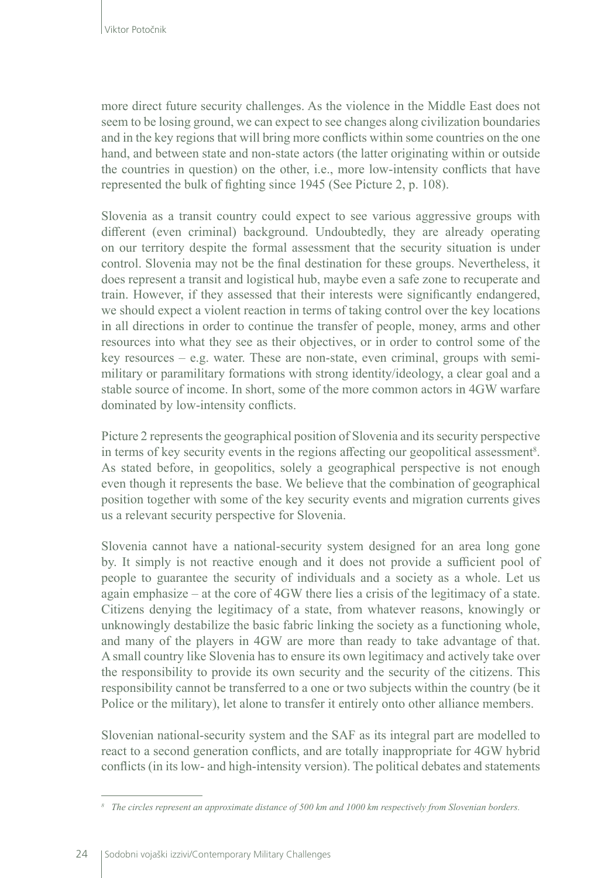more direct future security challenges. As the violence in the Middle East does not seem to be losing ground, we can expect to see changes along civilization boundaries and in the key regions that will bring more conflicts within some countries on the one hand, and between state and non-state actors (the latter originating within or outside the countries in question) on the other, i.e., more low-intensity conflicts that have represented the bulk of fighting since 1945 (See Picture 2, p. 108).

Slovenia as a transit country could expect to see various aggressive groups with different (even criminal) background. Undoubtedly, they are already operating on our territory despite the formal assessment that the security situation is under control. Slovenia may not be the final destination for these groups. Nevertheless, it does represent a transit and logistical hub, maybe even a safe zone to recuperate and train. However, if they assessed that their interests were significantly endangered, we should expect a violent reaction in terms of taking control over the key locations in all directions in order to continue the transfer of people, money, arms and other resources into what they see as their objectives, or in order to control some of the key resources – e.g. water. These are non-state, even criminal, groups with semimilitary or paramilitary formations with strong identity/ideology, a clear goal and a stable source of income. In short, some of the more common actors in 4GW warfare dominated by low-intensity conflicts.

Picture 2 represents the geographical position of Slovenia and its security perspective in terms of key security events in the regions affecting our geopolitical assessment<sup>8</sup>. As stated before, in geopolitics, solely a geographical perspective is not enough even though it represents the base. We believe that the combination of geographical position together with some of the key security events and migration currents gives us a relevant security perspective for Slovenia.

Slovenia cannot have a national-security system designed for an area long gone by. It simply is not reactive enough and it does not provide a sufficient pool of people to guarantee the security of individuals and a society as a whole. Let us again emphasize – at the core of 4GW there lies a crisis of the legitimacy of a state. Citizens denying the legitimacy of a state, from whatever reasons, knowingly or unknowingly destabilize the basic fabric linking the society as a functioning whole, and many of the players in 4GW are more than ready to take advantage of that. A small country like Slovenia has to ensure its own legitimacy and actively take over the responsibility to provide its own security and the security of the citizens. This responsibility cannot be transferred to a one or two subjects within the country (be it Police or the military), let alone to transfer it entirely onto other alliance members.

Slovenian national-security system and the SAF as its integral part are modelled to react to a second generation conflicts, and are totally inappropriate for 4GW hybrid conflicts (in its low- and high-intensity version). The political debates and statements

*<sup>8</sup> The circles represent an approximate distance of 500 km and 1000 km respectively from Slovenian borders.*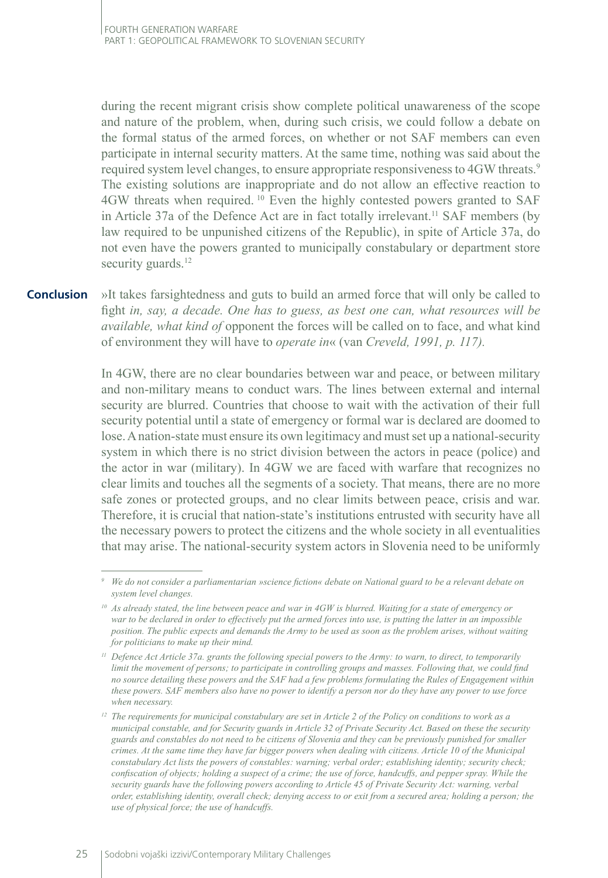during the recent migrant crisis show complete political unawareness of the scope and nature of the problem, when, during such crisis, we could follow a debate on the formal status of the armed forces, on whether or not SAF members can even participate in internal security matters. At the same time, nothing was said about the required system level changes, to ensure appropriate responsiveness to 4GW threats.9 The existing solutions are inappropriate and do not allow an effective reaction to 4GW threats when required. 10 Even the highly contested powers granted to SAF in Article 37a of the Defence Act are in fact totally irrelevant.<sup>11</sup> SAF members (by law required to be unpunished citizens of the Republic), in spite of Article 37a, do not even have the powers granted to municipally constabulary or department store security guards.<sup>12</sup>

»It takes farsightedness and guts to build an armed force that will only be called to fight *in, say, a decade. One has to guess, as best one can, what resources will be available, what kind of* opponent the forces will be called on to face, and what kind of environment they will have to *operate in*« (van *Creveld, 1991, p. 117).* **Conclusion**

> In 4GW, there are no clear boundaries between war and peace, or between military and non-military means to conduct wars. The lines between external and internal security are blurred. Countries that choose to wait with the activation of their full security potential until a state of emergency or formal war is declared are doomed to lose. A nation-state must ensure its own legitimacy and must set up a national-security system in which there is no strict division between the actors in peace (police) and the actor in war (military). In 4GW we are faced with warfare that recognizes no clear limits and touches all the segments of a society. That means, there are no more safe zones or protected groups, and no clear limits between peace, crisis and war. Therefore, it is crucial that nation-state's institutions entrusted with security have all the necessary powers to protect the citizens and the whole society in all eventualities that may arise. The national-security system actors in Slovenia need to be uniformly

*<sup>9</sup> We do not consider a parliamentarian »science fiction« debate on National guard to be a relevant debate on system level changes.*

*<sup>10</sup> As already stated, the line between peace and war in 4GW is blurred. Waiting for a state of emergency or war to be declared in order to effectively put the armed forces into use, is putting the latter in an impossible position. The public expects and demands the Army to be used as soon as the problem arises, without waiting for politicians to make up their mind.* 

*<sup>11</sup> Defence Act Article 37a. grants the following special powers to the Army: to warn, to direct, to temporarily limit the movement of persons; to participate in controlling groups and masses. Following that, we could find no source detailing these powers and the SAF had a few problems formulating the Rules of Engagement within these powers. SAF members also have no power to identify a person nor do they have any power to use force when necessary.* 

*<sup>12</sup> The requirements for municipal constabulary are set in Article 2 of the Policy on conditions to work as a municipal constable, and for Security guards in Article 32 of Private Security Act. Based on these the security guards and constables do not need to be citizens of Slovenia and they can be previously punished for smaller crimes. At the same time they have far bigger powers when dealing with citizens. Article 10 of the Municipal constabulary Act lists the powers of constables: warning; verbal order; establishing identity; security check; confiscation of objects; holding a suspect of a crime; the use of force, handcuffs, and pepper spray. While the security guards have the following powers according to Article 45 of Private Security Act: warning, verbal order, establishing identity, overall check; denying access to or exit from a secured area; holding a person; the use of physical force; the use of handcuffs.*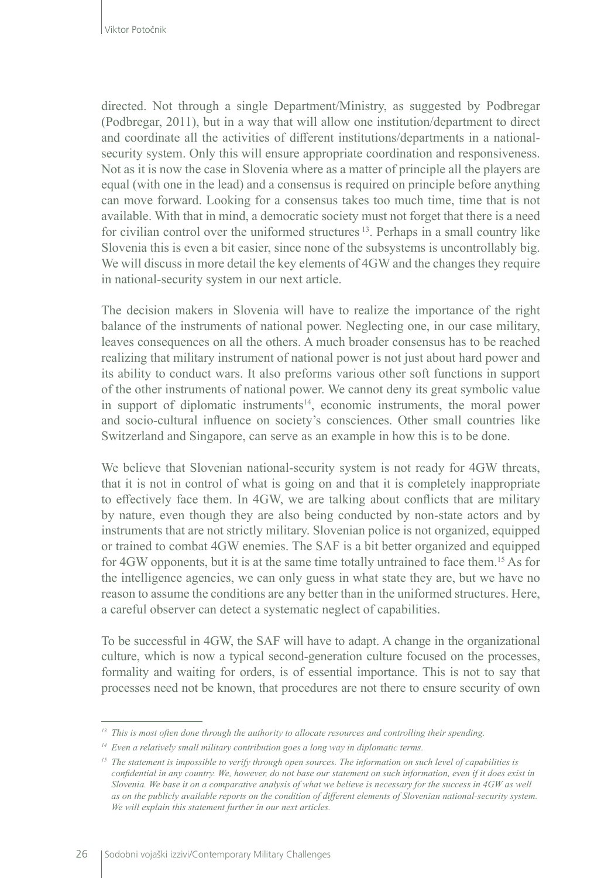directed. Not through a single Department/Ministry, as suggested by Podbregar (Podbregar, 2011), but in a way that will allow one institution/department to direct and coordinate all the activities of different institutions/departments in a nationalsecurity system. Only this will ensure appropriate coordination and responsiveness. Not as it is now the case in Slovenia where as a matter of principle all the players are equal (with one in the lead) and a consensus is required on principle before anything can move forward. Looking for a consensus takes too much time, time that is not available. With that in mind, a democratic society must not forget that there is a need for civilian control over the uniformed structures<sup>13</sup>. Perhaps in a small country like Slovenia this is even a bit easier, since none of the subsystems is uncontrollably big. We will discuss in more detail the key elements of 4GW and the changes they require in national-security system in our next article.

The decision makers in Slovenia will have to realize the importance of the right balance of the instruments of national power. Neglecting one, in our case military, leaves consequences on all the others. A much broader consensus has to be reached realizing that military instrument of national power is not just about hard power and its ability to conduct wars. It also preforms various other soft functions in support of the other instruments of national power. We cannot deny its great symbolic value in support of diplomatic instruments<sup>14</sup>, economic instruments, the moral power and socio-cultural influence on society's consciences. Other small countries like Switzerland and Singapore, can serve as an example in how this is to be done.

We believe that Slovenian national-security system is not ready for 4GW threats, that it is not in control of what is going on and that it is completely inappropriate to effectively face them. In 4GW, we are talking about conflicts that are military by nature, even though they are also being conducted by non-state actors and by instruments that are not strictly military. Slovenian police is not organized, equipped or trained to combat 4GW enemies. The SAF is a bit better organized and equipped for 4GW opponents, but it is at the same time totally untrained to face them.15 As for the intelligence agencies, we can only guess in what state they are, but we have no reason to assume the conditions are any better than in the uniformed structures. Here, a careful observer can detect a systematic neglect of capabilities.

To be successful in 4GW, the SAF will have to adapt. A change in the organizational culture, which is now a typical second-generation culture focused on the processes, formality and waiting for orders, is of essential importance. This is not to say that processes need not be known, that procedures are not there to ensure security of own

*<sup>13</sup> This is most often done through the authority to allocate resources and controlling their spending.* 

*<sup>14</sup> Even a relatively small military contribution goes a long way in diplomatic terms.* 

*<sup>15</sup> The statement is impossible to verify through open sources. The information on such level of capabilities is confidential in any country. We, however, do not base our statement on such information, even if it does exist in Slovenia. We base it on a comparative analysis of what we believe is necessary for the success in 4GW as well as on the publicly available reports on the condition of different elements of Slovenian national-security system. We will explain this statement further in our next articles.*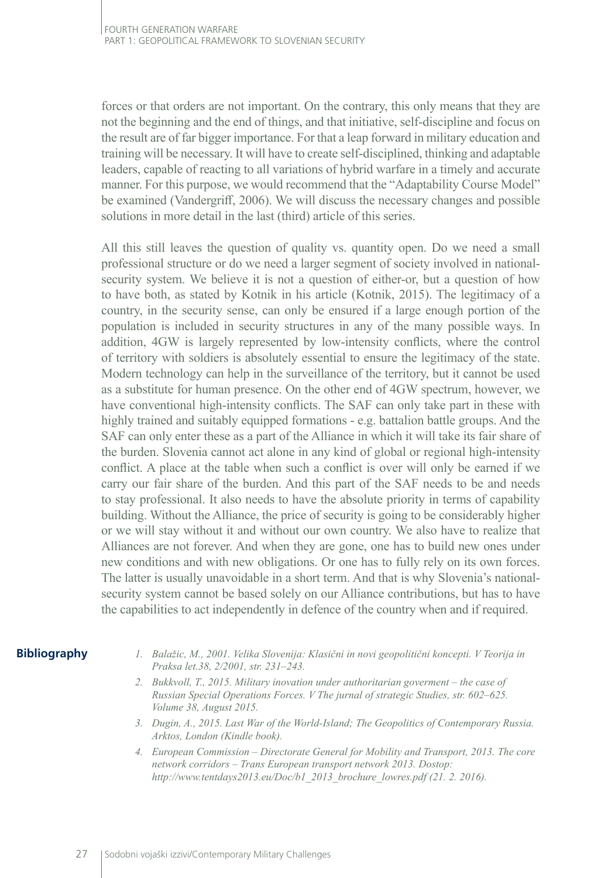forces or that orders are not important. On the contrary, this only means that they are not the beginning and the end of things, and that initiative, self-discipline and focus on the result are of far bigger importance. For that a leap forward in military education and training will be necessary. It will have to create self-disciplined, thinking and adaptable leaders, capable of reacting to all variations of hybrid warfare in a timely and accurate manner. For this purpose, we would recommend that the "Adaptability Course Model" be examined (Vandergriff, 2006). We will discuss the necessary changes and possible solutions in more detail in the last (third) article of this series.

All this still leaves the question of quality vs. quantity open. Do we need a small professional structure or do we need a larger segment of society involved in nationalsecurity system. We believe it is not a question of either-or, but a question of how to have both, as stated by Kotnik in his article (Kotnik, 2015). The legitimacy of a country, in the security sense, can only be ensured if a large enough portion of the population is included in security structures in any of the many possible ways. In addition, 4GW is largely represented by low-intensity conflicts, where the control of territory with soldiers is absolutely essential to ensure the legitimacy of the state. Modern technology can help in the surveillance of the territory, but it cannot be used as a substitute for human presence. On the other end of 4GW spectrum, however, we have conventional high-intensity conflicts. The SAF can only take part in these with highly trained and suitably equipped formations - e.g. battalion battle groups. And the SAF can only enter these as a part of the Alliance in which it will take its fair share of the burden. Slovenia cannot act alone in any kind of global or regional high-intensity conflict. A place at the table when such a conflict is over will only be earned if we carry our fair share of the burden. And this part of the SAF needs to be and needs to stay professional. It also needs to have the absolute priority in terms of capability building. Without the Alliance, the price of security is going to be considerably higher or we will stay without it and without our own country. We also have to realize that Alliances are not forever. And when they are gone, one has to build new ones under new conditions and with new obligations. Or one has to fully rely on its own forces. The latter is usually unavoidable in a short term. And that is why Slovenia's nationalsecurity system cannot be based solely on our Alliance contributions, but has to have the capabilities to act independently in defence of the country when and if required.

# **Bibliography**

- *1. Balažic, M., 2001. Velika Slovenija: Klasični in novi geopolitični koncepti. V Teorija in Praksa let.38, 2/2001, str. 231–243.*
- *2. Bukkvoll, T., 2015. Military inovation under authoritarian goverment the case of Russian Special Operations Forces. V The jurnal of strategic Studies, str. 602–625. Volume 38, August 2015.*
- *3. Dugin, A., 2015. Last War of the World-Island; The Geopolitics of Contemporary Russia. Arktos, London (Kindle book).*
- *4. European Commission Directorate General for Mobility and Transport, 2013. The core network corridors – Trans European transport network 2013. Dostop: [http://www.tentdays2013.eu/Doc/b1\\_2013\\_brochure\\_lowres.pdf](http://www.tentdays2013.eu/Doc/b1_2013_brochure_lowres.pdf) (21. 2. 2016).*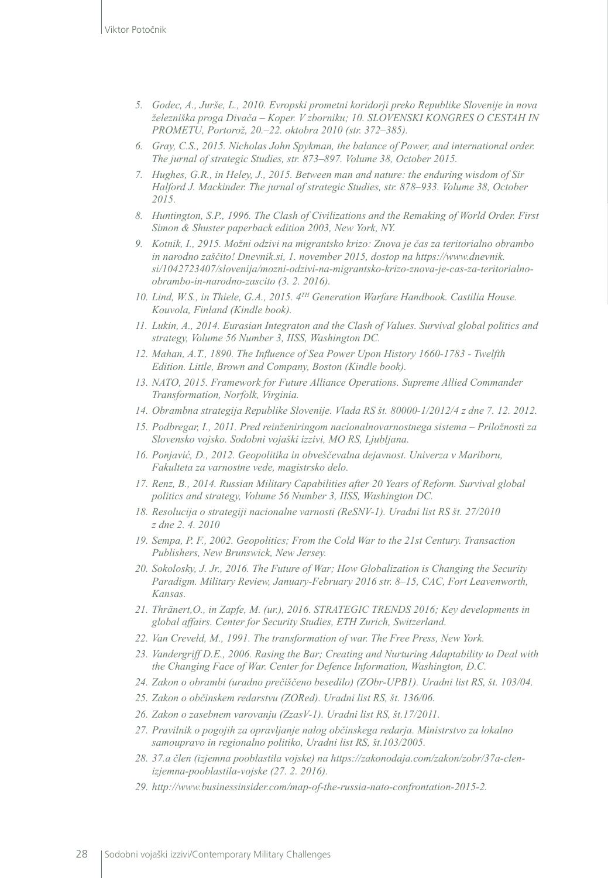- *5. Godec, A., Jurše, L., 2010. Evropski prometni koridorji preko Republike Slovenije in nova železniška proga Divača – Koper. V zborniku; 10. SLOVENSKI KONGRES O CESTAH IN PROMETU, Portorož, 20.–22. oktobra 2010 (str. 372–385).*
- *6. Gray, C.S., 2015. Nicholas John Spykman, the balance of Power, and international order. The jurnal of strategic Studies, str. 873–897. Volume 38, October 2015.*
- *7. Hughes, G.R., in Heley, J., 2015. Between man and nature: the enduring wisdom of Sir Halford J. Mackinder. The jurnal of strategic Studies, str. 878–933. Volume 38, October 2015.*
- *8. Huntington, S.P., 1996. The Clash of Civilizations and the Remaking of World Order. First Simon & Shuster paperback edition 2003, New York, NY.*
- *9. Kotnik, I., 2915. Možni odzivi na migrantsko krizo: Znova je čas za teritorialno obrambo in narodno zaščito! Dnevnik.si, 1. november 2015, dostop na [https://www.dnevnik.](https://www.dnevnik.si/1042723407/slovenija/mozni-odzivi-na-migrantsko-krizo-znova-je-cas-za-teritorialno-obrambo-in-narodno-zascito) [si/1042723407/slovenija/mozni-odzivi-na-migrantsko-krizo-znova-je-cas-za-teritorialno](https://www.dnevnik.si/1042723407/slovenija/mozni-odzivi-na-migrantsko-krizo-znova-je-cas-za-teritorialno-obrambo-in-narodno-zascito)[obrambo-in-narodno-zascito](https://www.dnevnik.si/1042723407/slovenija/mozni-odzivi-na-migrantsko-krizo-znova-je-cas-za-teritorialno-obrambo-in-narodno-zascito) (3. 2. 2016).*
- *10. Lind, W.S., in Thiele, G.A., 2015. 4TH Generation Warfare Handbook. Castilia House. Kouvola, Finland (Kindle book).*
- *11. Lukin, A., 2014. Eurasian Integraton and the Clash of Values. Survival global politics and strategy, Volume 56 Number 3, IISS, Washington DC.*
- *12. Mahan, A.T., 1890. The Influence of Sea Power Upon History 1660-1783 Twelfth Edition. Little, Brown and Company, Boston (Kindle book).*
- *13. NATO, 2015. Framework for Future Alliance Operations. Supreme Allied Commander Transformation, Norfolk, Virginia.*
- *14. Obrambna strategija Republike Slovenije. Vlada RS št. 80000-1/2012/4 z dne 7. 12. 2012.*
- *15. Podbregar, I., 2011. Pred reinženiringom nacionalnovarnostnega sistema Priložnosti za Slovensko vojsko. Sodobni vojaški izzivi, MO RS, Ljubljana.*
- *16. Ponjavić, D., 2012. Geopolitika in obveščevalna dejavnost. Univerza v Mariboru, Fakulteta za varnostne vede, magistrsko delo.*
- *17. Renz, B., 2014. Russian Military Capabilities after 20 Years of Reform. Survival global politics and strategy, Volume 56 Number 3, IISS, Washington DC.*
- *18. Resolucija o strategiji nacionalne varnosti (ReSNV-1). Uradni list RS št. 27/2010 z dne 2. 4. 2010*
- *19. Sempa, P. F., 2002. Geopolitics; From the Cold War to the 21st Century. Transaction Publishers, New Brunswick, New Jersey.*
- *20. Sokolosky, J. Jr., 2016. The Future of War; How Globalization is Changing the Security Paradigm. Military Review, January-February 2016 str. 8–15, CAC, Fort Leavenworth, Kansas.*
- *21. Thränert,O., in Zapfe, M. (ur.), 2016. STRATEGIC TRENDS 2016; Key developments in global affairs. Center for Security Studies, ETH Zurich, Switzerland.*
- *22. Van Creveld, M., 1991. The transformation of war. The Free Press, New York.*
- *23. Vandergriff D.E., 2006. Rasing the Bar; Creating and Nurturing Adaptability to Deal with the Changing Face of War. Center for Defence Information, Washington, D.C.*
- *24. Zakon o obrambi (uradno prečiščeno besedilo) (ZObr-UPB1). Uradni list RS, št. 103/04.*
- *25. Zakon o občinskem redarstvu (ZORed). Uradni list RS, št. 136/06.*
- *26. Zakon o zasebnem varovanju (ZzasV-1). Uradni list RS, št.17/2011.*
- *27. Pravilnik o pogojih za opravljanje nalog občinskega redarja. Ministrstvo za lokalno samoupravo in regionalno politiko, Uradni list RS, št.103/2005.*
- *28. 37.a člen (izjemna pooblastila vojske) na [https://zakonodaja.com/zakon/zobr/37a-clen](https://zakonodaja.com/zakon/zobr/37a-clen-izjemna-pooblastila-vojske)[izjemna-pooblastila-vojske](https://zakonodaja.com/zakon/zobr/37a-clen-izjemna-pooblastila-vojske) (27. 2. 2016).*
- *29. <http://www.businessinsider.com/map-of-the-russia-nato-confrontation-2015-2>.*